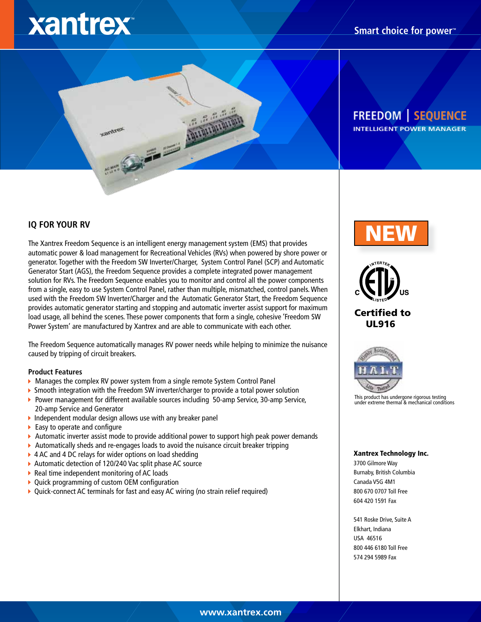# xantrex

## **Smart choice for power™**

# **FREEDOM | SEQUENCE INTELLIGENT POWER MANAGER**

IQ FOR YOUR RV<br>The Xantrex Freedom Sequence is an intelligent energy management system (EMS) that provides automatic power & load management for Recreational Vehicles (RVs) when powered by shore power or generator. Together with the Freedom SW Inverter/Charger, System Control Panel (SCP) and Automatic Generator Start (AGS), the Freedom Sequence provides a complete integrated power management solution for RVs. The Freedom Sequence enables you to monitor and control all the power components from a single, easy to use System Control Panel, rather than multiple, mismatched, control panels. When used with the Freedom SW Inverter/Charger and the Automatic Generator Start, the Freedom Sequence provides automatic generator starting and stopping and automatic inverter assist support for maximum load usage, all behind the scenes. These power components that form a single, cohesive 'Freedom SW Power System' are manufactured by Xantrex and are able to communicate with each other.

The Freedom Sequence automatically manages RV power needs while helping to minimize the nuisance caused by tripping of circuit breakers.

#### **Product Features**

- 
- **Manages the complex RV power system from a single remote System Control Panel Smooth integration with the Freedom SW inverter/charger to provide a total power solution by Smooth integration with the Freedom SW inverter/c**
- **Power management for different available sources including 50-amp Service, 30-amp Service,**
- 20-amp Service and Generator<br>▶ Independent modular design allows use with any breaker panel
- $\blacktriangleright$  Easy to operate and configure
- Automatic inverter assist mode to provide additional power to support high peak power demands K
- <ul>\n<li>Automatically sheds and re-engages loads to avoid the nuisance circuit breaker tripping</li>\n<li>4 AC and 4 DC relays for wider options on load scheduling</li>\n<li>Automatic detection of 120/240 Vac split phase AC source</li>\n<li>Real time independent monitoring of AC loads</li>\n<li>Quick programming of custom OEM configuration</li>\n<li>Quick-connect AC terminals for fast and easy AC wiring (no strain relief required)</li>\n</ul>
- 
- 
- 
- K
- 



Certified to UL916



This product has undergone rigorous testing under extreme thermal & mechanical conditions

#### Xantrex Technology Inc.

3700 Gilmore Way Burnaby, British Columbia Canada V5G 4M1 800 670 0707 Toll Free 604 420 1591 Fax

541 Roske Drive, Suite A Elkhart, Indiana USA 46516 800 446 6180 Toll Free 574 294 5989 Fax